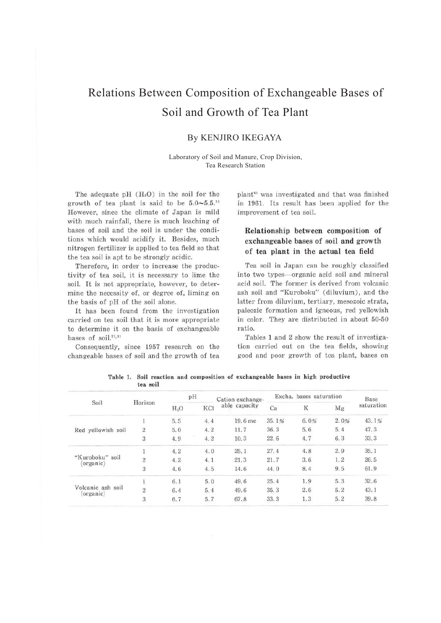# Relations Between Composition of Exchangeable Bases of Soil and Growth of Tea Plant

### By KENJIRO IKEGAYA

Laboratory of Soil and Manure, Crop Division, Tea Research Station

The adequate  $pH$  ( $H<sub>2</sub>O$ ) in the soil for the growth of tea plant is said to be  $5.0 \sim 5.5$ <sup>11</sup> However, since the climate of Japan is mild with much rainfall, there is much leaching of bases of soil and the soil is under the conditions which would acidify it. Besides, much nitrogen fertilizer is applied to tea field so that the tea soil is apt to be strongly acidic.

Therefore, in order to increase the productivity of tea soil, it is necessary to lime the soil. It is not appropriate, however, to determine the necessity of, or degree of, liming on the basis of pH of the soil alone.

It has been found from the investigation carried on tea soil that it is more appropriate to determine it on the basis of exchangeable bases of soil. $2^{(2)}$ , $3^{(3)}$ 

Consequently, since 1957 research on the changeable bases of soil and the growth of tea

plant<sup>4)</sup> was investigated and that was finished in 1961. Its result has been applied for the improvement of tea soil.

## **Relationship between composition of exchangeable bases of soil and growth of tea plant in the actual tea field**

Tea soil in Japan can be roughly classified into two types-organic acid soil and mineral acid soil. The former is derived from volcanic ash soil and "Kuroboku" (diluvium), and the latter from diluvium, tertiary, mesozoic strata, paleozic formation and igneous, red yellowish in color. They are distributed in about 50-50 ratio.

Tables 1 and 2 show the result of investigation carried out on the tea fields, showing good and poor growth of tea plant, bases on

| Soil                           | Horizon                 | pH     |     | Cation exchange- | Excha, bases saturation |      |      | Base       |
|--------------------------------|-------------------------|--------|-----|------------------|-------------------------|------|------|------------|
|                                |                         | $H_2O$ | KCI | able capacity    | Ca                      | K    | Mg   | saturation |
| Red yellowish soil             |                         | 5.5    | 4.4 | 19.6 me          | 35.1%                   | 6.0% | 2.0% | 43.1%      |
|                                | $\sqrt{2}$              | 5.0    | 4.2 | 11.7             | 36.3                    | 5.6  | 5.4  | 47.3       |
|                                | 3                       | 4.9    | 4.2 | 10.3             | 22.6                    | 4.7  | 6.3  | 33.3       |
| "Kuroboku" soil<br>(organic)   | $\mathbf{1}$            | 4.2    | 4.0 | 25.1             | 27.4                    | 4.8  | 2.9  | 35.1       |
|                                | $\overline{2}$          | 4.2    | 4.1 | 21.3             | 21.7                    | 3.6  | 1, 2 | 26.5       |
|                                | 3                       | 4.6    | 4.5 | 14.6             | 44.0                    | 8.4  | 9.5  | 61.9       |
| Volcanic ash soil<br>(organic) | $\mathbf{1}$            | 6.1    | 5.0 | 49.6             | 25.4                    | 1.9  | 5.3  | 32.6       |
|                                | $\overline{\mathbf{2}}$ | 6.4    | 5.4 | 49.6             | 35.3                    | 2.6  | 5.2  | 43.1       |
|                                | $\sqrt{3}$              | 6.7    | 5.7 | 67.8             | 33.3                    | 1.3  | 5.2  | 39.8       |

**Table 1. Soil reaction and composition of exchangeable bases in high productive tea soil**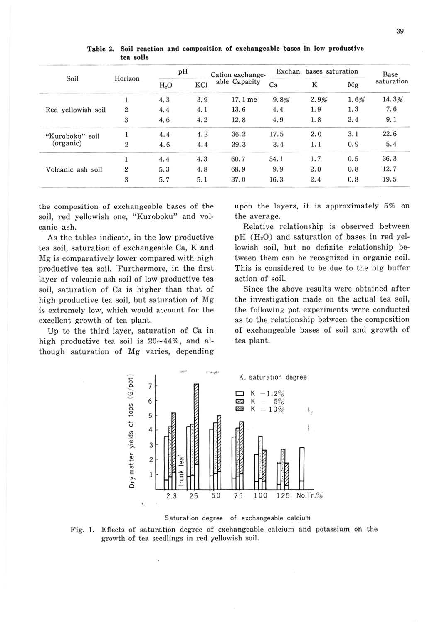| Soil                         | Horizon        | pH     |     | Cation exchange- | Exchan, bases saturation |      |      | Base       |
|------------------------------|----------------|--------|-----|------------------|--------------------------|------|------|------------|
|                              |                | $H_2O$ | KCI | able Capacity    | Ca                       | K    | Mg   | saturation |
| Red yellowish soil           |                | 4.3    | 3.9 | 17.1 me          | 9.8%                     | 2.9% | 1.6% | 14.3%      |
|                              | $\overline{2}$ | 4.4    | 4.1 | 13.6             | 4.4                      | 1.9  | 1.3  | 7.6        |
|                              | 3              | 4.6    | 4.2 | 12.8             | 4.9                      | 1.8  | 2,4  | 9.1        |
| "Kuroboku" soil<br>(organic) |                | 4.4    | 4.2 | 36.2             | 17.5                     | 2.0  | 3.1  | 22.6       |
|                              | $\overline{2}$ | 4.6    | 4.4 | 39.3             | 3.4                      | 1.1  | 0.9  | 5.4        |
| Volcanic ash soil            |                | 4.4    | 4.3 | 60.7             | 34.1                     | 1.7  | 0.5  | 36.3       |
|                              | $\overline{2}$ | 5.3    | 4.8 | 68.9             | 9.9                      | 2.0  | 0.8  | 12.7       |
|                              | 3              | 5.7    | 5.1 | 37.0             | 16.3                     | 2.4  | 0.8  | 19.5       |

Table 2. Soil reaction and composition of exchangeable bases in low productive tea soils

the composition of exchangeable bases of the soil, red yellowish one, "Kuroboku" and volcanic ash.

As the tables indicate, in the low productive tea soil, saturation of exchangeable Ca, K and Mg is comparatively lower compared with high productive tea soil. Furthermore, in the first layer of volcanic ash soil of low productive tea soil, saturation of Ca is higher than that of high productive tea soil, but saturation of Mg is extremely low, which would account for the excellent growth of tea plant.

Up to the third layer, saturation of Ca in high productive tea soil is  $20 \sim 44\%$ , and although saturation of Mg varies, depending

upon the layers, it is approximately 5% on the average.

Relative relationship is observed between  $pH(H<sub>2</sub>O)$  and saturation of bases in red yellowish soil, but no definite relationship between them can be recognized in organic soil. This is considered to be due to the big buffer action of soil.

Since the above results were obtained after the investigation made on the actual tea soil, the following pot experiments were conducted as to the relationship between the composition of exchangeable bases of soil and growth of tea plant.



Saturation degree of exchangeable calcium

Fig. 1. Effects of saturation degree of exchangeable calcium and potassium on the growth of tea seedlings in red yellowish soil.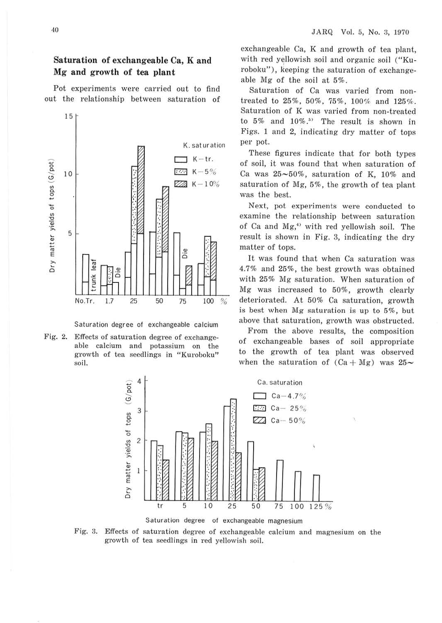#### **Saturation of exchangeable Ca, K and Mg and growth of tea plant**

Pot experiments were carried out to find out the relationship between saturation of



Saturation degree of exchangeable calcium

Fig. 2. Effects of saturation degree of exchangeable calcium and potassium on the growth of tea seedlings in "Kuroboku" soil.

exchangeable Ca, K and growth of tea plant, with red yellowish soil and organic soil ("Kuroboku"), keeping the saturation of exchangeable Mg of the soil at 5%.

Saturation of Ca was varied from nontreated to 25%, 50%, 75%, 100% and 125%. Saturation of K was varied from non-treated to  $5\%$  and  $10\%$ .<sup>5)</sup> The result is shown in Figs. 1 and 2, indicating dry matter of tops per pot.

These figures indicate that for both types of soil, it was found that when saturation of Ca was  $25 \sim 50\%$ , saturation of K, 10% and saturation of Mg, 5%, the growth of tea plant was the best.

Next, pot experiments were conducted to examine the relationship between saturation of Ca and  $Mg<sub>1</sub><sup>4</sup>$  with red yellowish soil. The result is shown in Fig. 3, indicating the dry matter of tops.

It was found that when Ca saturation was 4.7% and 25%, the best growth was obtained with 25% Mg saturation. When saturation of Mg was increased to 50%, growth clearly deteriorated. At 50% Ca saturation, growth is best when Mg saturation is up to 5%, but above that saturation, growth was obstructed.

From the above results, the composition of exchangeable bases of soil appropriate to the growth of tea plant was observed when the saturation of  $(Ca + Mg)$  was  $25-$ 



Fig. *3.* Effects of saturation degree of exchangeable calcium and magnesium on the growth of tea seedlings in red yellowish soil.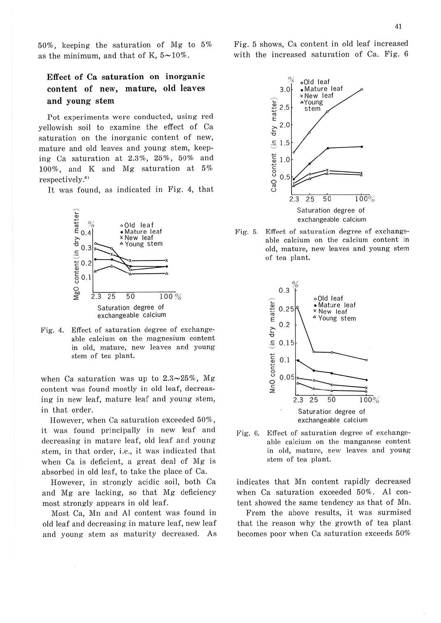50%, keeping the saturation of Mg to 5% as the minimum, and that of K,  $5{\sim}10\%$ .

# **Effect of Ca saturation on inorganic content of new, mature, old leaves and young stem**

Pot experiments were conducted, using red yellowish soil to examine the effect of Ca saturation on the inorganic content of new, mature and old leaves and young stem, keeping Ca saturation at 2.3%, 25%, 50% and 100%, and K and Mg saturation at 5% respectively.<sup>6)</sup>

It was found, as indicated in Fig. 4, that



Fig. 4. Effect of saturation degree of exchangeable calcium on the magnesium content in old, mature, new leaves and young stem of tea plant.

when Ca saturation was up to  $2.3 \sim 25\%$ , Mg content was found mostly in old leaf, decreasing in new leaf, mature leaf and young stem, in that order.

However, when Ca saturation exceeded 50%, it was found principally in new leaf and decreasing in mature leaf, old leaf and young stem, in that order, i.e., it was indicated that when Ca is deficient, a great deal of Mg is absorbed in old leaf, to take the place of Ca.

However, in strongly acidic soil, both Ca and Mg are lacking, so that Mg deficiency most strongly appears in old leaf.

Most Ca, Mn and Al content was found in old leaf and decreasing in mature leaf, new leaf and young stem as maturity decreased. As Fig. 5 shows, Ca content in old leaf increased with the increased saturation of Ca. Fig. 6



Fig. 5. Effect of saturation degree of exchangeable calcium on the calcium content in old, mature, new leaves and young stem of tea plant.



Fig. 6. Effect of saturation degree of exchangeable calcium on the manganese content in old, mature, new leaves and young stem of tea plant.

indicates that Mn content rapidly decreased when Ca saturation exceeded 50% . Al content showed the same tendency as that of Mn.

From the above results, it was surmised that the reason why the growth of tea plant becomes poor when Ca saturation exceeds 50%